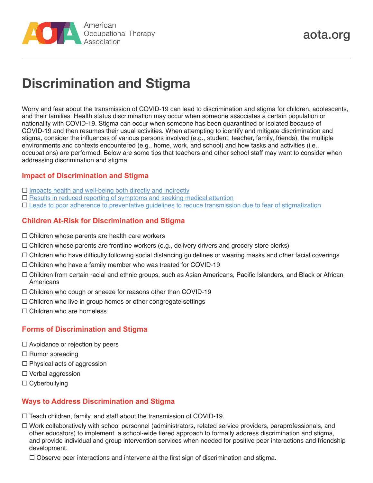

# **Discrimination and Stigma**

Worry and fear about the transmission of COVID-19 can lead to discrimination and stigma for children, adolescents, and their families. Health status discrimination may occur when someone associates a certain population or nationality with COVID-19. Stigma can occur when someone has been quarantined or isolated because of COVID-19 and then resumes their usual activities. When attempting to identify and mitigate discrimination and stigma, consider the influences of various persons involved (e.g., student, teacher, family, friends), the multiple environments and contexts encountered (e.g., home, work, and school) and how tasks and activities (i.e., occupations) are performed. Below are some tips that teachers and other school staff may want to consider when addressing discrimination and stigma.

## **Impact of Discrimination and Stigma**

- $\Box$  [Impacts health and well-being both directly and indirectly](https://www.aota.org/~/media/Corporate/Files/Practice/Guide-Acknowledging-Impact-Discrimination-Stigma-Implicit-Bias.pdf)
- $\square$  [Results in reduced reporting of symptoms and seeking medical attention](https://www.who.int/westernpacific/emergencies/covid-19/information/social-stigma-discrimination)
- [Leads to poor adherence to preventative guidelines to reduce transmission due to fear of stigmatization](https://www.who.int/westernpacific/emergencies/covid-19/information/social-stigma-discrimination)

### **Children At-Risk for Discrimination and Stigma**

- $\Box$  Children whose parents are health care workers
- $\Box$  Children whose parents are frontline workers (e.g., delivery drivers and grocery store clerks)
- $\Box$  Children who have difficulty following social distancing guidelines or wearing masks and other facial coverings
- $\Box$  Children who have a family member who was treated for COVID-19
- Children from certain racial and ethnic groups, such as Asian Americans, Pacific Islanders, and Black or African Americans
- $\Box$  Children who cough or sneeze for reasons other than COVID-19
- $\Box$  Children who live in group homes or other congregate settings
- $\Box$  Children who are homeless

## **Forms of Discrimination and Stigma**

- $\Box$  Avoidance or rejection by peers
- $\Box$  Rumor spreading
- $\Box$  Physical acts of aggression
- $\Box$  Verbal aggression
- $\Box$  Cyberbullying

#### **Ways to Address Discrimination and Stigma**

 $\Box$  Teach children, family, and staff about the transmission of COVID-19.

 Work collaboratively with school personnel (administrators, related service providers, paraprofessionals, and other educators) to implement a school-wide tiered approach to formally address discrimination and stigma, and provide individual and group intervention services when needed for positive peer interactions and friendship development.

 $\Box$  Observe peer interactions and intervene at the first sign of discrimination and stigma.